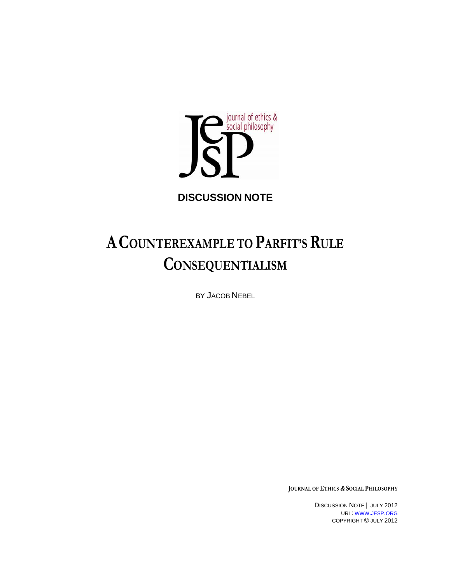

**DISCUSSION NOTE** 

# A COUNTEREXAMPLE TO PARFIT'S RULE **CONSEQUENTIALISM**

BY JACOB NEBEL

**JOURNAL OF ETHICS & SOCIAL PHILOSOPHY**

DISCUSSION NOTE | JULY 2012 URL: WWW.JESP.ORG COPYRIGHT © JULY 2012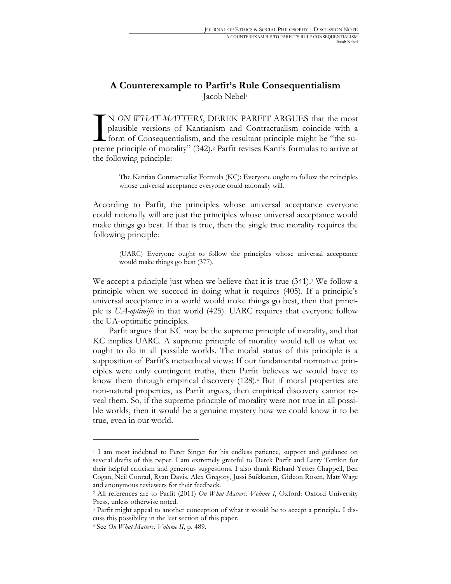## **A Counterexample to Parfit's Rule Consequentialism** Jacob Nebel<sup>1</sup>

N *ON WHAT MATTERS*, DEREK PARFIT ARGUES that the most plausible versions of Kantianism and Contractualism coincide with a form of Consequentialism, and the resultant principle might be "the su-N ON WHAT MATTERS, DEREK PARFIT ARGUES that the most plausible versions of Kantianism and Contractualism coincide with a form of Consequentialism, and the resultant principle might be "the supreme principle of morality" (3 the following principle:

The Kantian Contractualist Formula (KC): Everyone ought to follow the principles whose universal acceptance everyone could rationally will.

According to Parfit, the principles whose universal acceptance everyone could rationally will are just the principles whose universal acceptance would make things go best. If that is true, then the single true morality requires the following principle:

(UARC) Everyone ought to follow the principles whose universal acceptance would make things go best (377).

We accept a principle just when we believe that it is true  $(341)$ .<sup>3</sup> We follow a principle when we succeed in doing what it requires (405). If a principle's universal acceptance in a world would make things go best, then that principle is *UA-optimific* in that world (425). UARC requires that everyone follow the UA-optimific principles.

Parfit argues that KC may be the supreme principle of morality, and that KC implies UARC. A supreme principle of morality would tell us what we ought to do in all possible worlds. The modal status of this principle is a supposition of Parfit's metaethical views: If our fundamental normative principles were only contingent truths, then Parfit believes we would have to know them through empirical discovery (128).4 But if moral properties are non-natural properties, as Parfit argues, then empirical discovery cannot reveal them. So, if the supreme principle of morality were not true in all possible worlds, then it would be a genuine mystery how we could know it to be true, even in our world.

<sup>1</sup> I am most indebted to Peter Singer for his endless patience, support and guidance on several drafts of this paper. I am extremely grateful to Derek Parfit and Larry Temkin for their helpful criticism and generous suggestions. I also thank Richard Yetter Chappell, Ben Cogan, Neil Conrad, Ryan Davis, Alex Gregory, Jussi Suikkanen, Gideon Rosen, Matt Wage and anonymous reviewers for their feedback.

<sup>2</sup> All references are to Parfit (2011) *On What Matters: Volume I*, Oxford: Oxford University Press, unless otherwise noted.

<sup>3</sup> Parfit might appeal to another conception of what it would be to accept a principle. I discuss this possibility in the last section of this paper. 4 See *On What Matters: Volume II*, p. 489.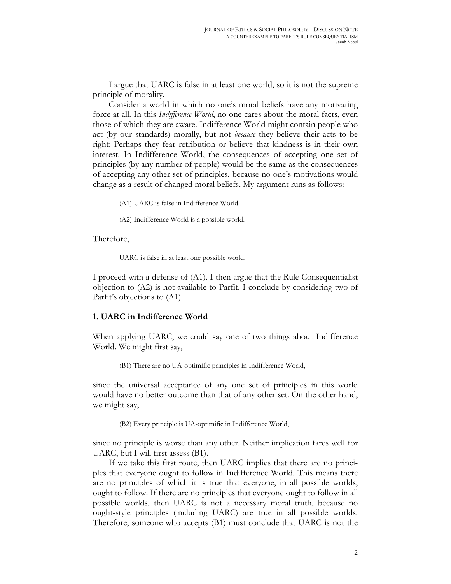I argue that UARC is false in at least one world, so it is not the supreme principle of morality.

Consider a world in which no one's moral beliefs have any motivating force at all. In this *Indifference World*, no one cares about the moral facts, even those of which they are aware. Indifference World might contain people who act (by our standards) morally, but not *because* they believe their acts to be right: Perhaps they fear retribution or believe that kindness is in their own interest. In Indifference World, the consequences of accepting one set of principles (by any number of people) would be the same as the consequences of accepting any other set of principles, because no one's motivations would change as a result of changed moral beliefs. My argument runs as follows:

(A1) UARC is false in Indifference World.

(A2) Indifference World is a possible world.

#### Therefore,

UARC is false in at least one possible world.

I proceed with a defense of (A1). I then argue that the Rule Consequentialist objection to (A2) is not available to Parfit. I conclude by considering two of Parfit's objections to (A1).

#### **1. UARC in Indifference World**

When applying UARC, we could say one of two things about Indifference World. We might first say,

(B1) There are no UA-optimific principles in Indifference World,

since the universal acceptance of any one set of principles in this world would have no better outcome than that of any other set. On the other hand, we might say,

(B2) Every principle is UA-optimific in Indifference World,

since no principle is worse than any other. Neither implication fares well for UARC, but I will first assess (B1).

If we take this first route, then UARC implies that there are no principles that everyone ought to follow in Indifference World. This means there are no principles of which it is true that everyone, in all possible worlds, ought to follow. If there are no principles that everyone ought to follow in all possible worlds, then UARC is not a necessary moral truth, because no ought-style principles (including UARC) are true in all possible worlds. Therefore, someone who accepts (B1) must conclude that UARC is not the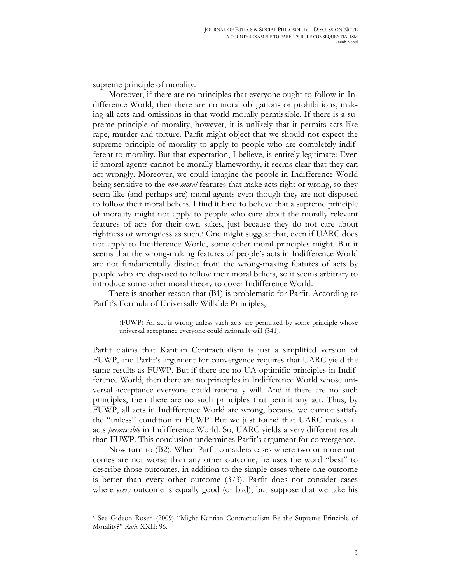supreme principle of morality.

 $\overline{a}$ 

Moreover, if there are no principles that everyone ought to follow in Indifference World, then there are no moral obligations or prohibitions, making all acts and omissions in that world morally permissible. If there is a supreme principle of morality, however, it is unlikely that it permits acts like rape, murder and torture. Parfit might object that we should not expect the supreme principle of morality to apply to people who are completely indifferent to morality. But that expectation, I believe, is entirely legitimate: Even if amoral agents cannot be morally blameworthy, it seems clear that they can act wrongly. Moreover, we could imagine the people in Indifference World being sensitive to the *non-moral* features that make acts right or wrong, so they seem like (and perhaps are) moral agents even though they are not disposed to follow their moral beliefs. I find it hard to believe that a supreme principle of morality might not apply to people who care about the morally relevant features of acts for their own sakes, just because they do not care about rightness or wrongness as such.<sup>5</sup> One might suggest that, even if UARC does not apply to Indifference World, some other moral principles might. But it seems that the wrong-making features of people's acts in Indifference World are not fundamentally distinct from the wrong-making features of acts by people who are disposed to follow their moral beliefs, so it seems arbitrary to introduce some other moral theory to cover Indifference World.

There is another reason that (B1) is problematic for Parfit. According to Parfit's Formula of Universally Willable Principles,

(FUWP) An act is wrong unless such acts are permitted by some principle whose universal acceptance everyone could rationally will (341).

Parfit claims that Kantian Contractualism is just a simplified version of FUWP, and Parfit's argument for convergence requires that UARC yield the same results as FUWP. But if there are no UA-optimific principles in Indifference World, then there are no principles in Indifference World whose universal acceptance everyone could rationally will. And if there are no such principles, then there are no such principles that permit any act. Thus, by FUWP, all acts in Indifference World are wrong, because we cannot satisfy the "unless" condition in FUWP. But we just found that UARC makes all acts *permissible* in Indifference World. So, UARC yields a very different result than FUWP. This conclusion undermines Parfit's argument for convergence.

Now turn to (B2). When Parfit considers cases where two or more outcomes are not worse than any other outcome, he uses the word "best" to describe those outcomes, in addition to the simple cases where one outcome is better than every other outcome (373). Parfit does not consider cases where *every* outcome is equally good (or bad), but suppose that we take his

<sup>5</sup> See Gideon Rosen (2009) "Might Kantian Contractualism Be the Supreme Principle of Morality?" *Ratio* XXII: 96.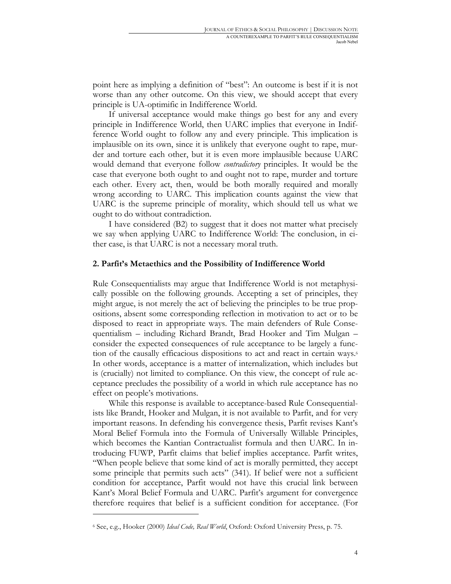point here as implying a definition of "best": An outcome is best if it is not worse than any other outcome. On this view, we should accept that every principle is UA-optimific in Indifference World.

If universal acceptance would make things go best for any and every principle in Indifference World, then UARC implies that everyone in Indifference World ought to follow any and every principle. This implication is implausible on its own, since it is unlikely that everyone ought to rape, murder and torture each other, but it is even more implausible because UARC would demand that everyone follow *contradictory* principles. It would be the case that everyone both ought to and ought not to rape, murder and torture each other. Every act, then, would be both morally required and morally wrong according to UARC. This implication counts against the view that UARC is the supreme principle of morality, which should tell us what we ought to do without contradiction.

I have considered (B2) to suggest that it does not matter what precisely we say when applying UARC to Indifference World: The conclusion, in either case, is that UARC is not a necessary moral truth.

#### **2. Parfit's Metaethics and the Possibility of Indifference World**

Rule Consequentialists may argue that Indifference World is not metaphysically possible on the following grounds. Accepting a set of principles, they might argue, is not merely the act of believing the principles to be true propositions, absent some corresponding reflection in motivation to act or to be disposed to react in appropriate ways. The main defenders of Rule Consequentialism – including Richard Brandt, Brad Hooker and Tim Mulgan – consider the expected consequences of rule acceptance to be largely a function of the causally efficacious dispositions to act and react in certain ways.6 In other words, acceptance is a matter of internalization, which includes but is (crucially) not limited to compliance. On this view, the concept of rule acceptance precludes the possibility of a world in which rule acceptance has no effect on people's motivations.

While this response is available to acceptance-based Rule Consequentialists like Brandt, Hooker and Mulgan, it is not available to Parfit, and for very important reasons. In defending his convergence thesis, Parfit revises Kant's Moral Belief Formula into the Formula of Universally Willable Principles, which becomes the Kantian Contractualist formula and then UARC. In introducing FUWP, Parfit claims that belief implies acceptance. Parfit writes, "When people believe that some kind of act is morally permitted, they accept some principle that permits such acts" (341). If belief were not a sufficient condition for acceptance, Parfit would not have this crucial link between Kant's Moral Belief Formula and UARC. Parfit's argument for convergence therefore requires that belief is a sufficient condition for acceptance. (For

<sup>6</sup> See, e.g., Hooker (2000) *Ideal Code, Real World*, Oxford: Oxford University Press, p. 75.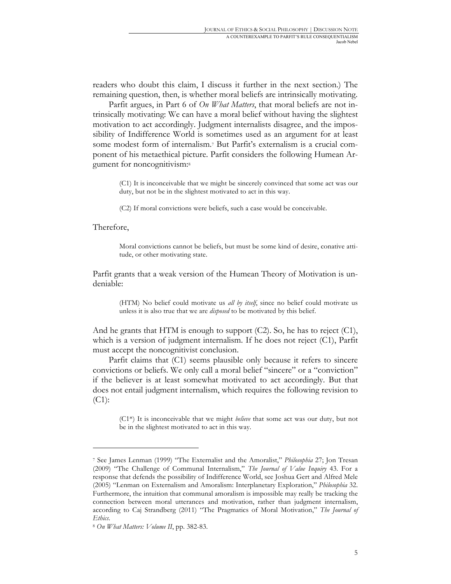readers who doubt this claim, I discuss it further in the next section.) The remaining question, then, is whether moral beliefs are intrinsically motivating.

Parfit argues, in Part 6 of *On What Matters*, that moral beliefs are not intrinsically motivating: We can have a moral belief without having the slightest motivation to act accordingly. Judgment internalists disagree, and the impossibility of Indifference World is sometimes used as an argument for at least some modest form of internalism.7 But Parfit's externalism is a crucial component of his metaethical picture. Parfit considers the following Humean Argument for noncognitivism:8

(C1) It is inconceivable that we might be sincerely convinced that some act was our duty, but not be in the slightest motivated to act in this way.

(C2) If moral convictions were beliefs, such a case would be conceivable.

#### Therefore,

 $\overline{a}$ 

Moral convictions cannot be beliefs, but must be some kind of desire, conative attitude, or other motivating state.

Parfit grants that a weak version of the Humean Theory of Motivation is undeniable:

(HTM) No belief could motivate us *all by itself*, since no belief could motivate us unless it is also true that we are *disposed* to be motivated by this belief.

And he grants that HTM is enough to support (C2). So, he has to reject (C1), which is a version of judgment internalism. If he does not reject (C1), Parfit must accept the noncognitivist conclusion.

Parfit claims that (C1) seems plausible only because it refers to sincere convictions or beliefs. We only call a moral belief "sincere" or a "conviction" if the believer is at least somewhat motivated to act accordingly. But that does not entail judgment internalism, which requires the following revision to (C1):

(C1\*) It is inconceivable that we might *believe* that some act was our duty, but not be in the slightest motivated to act in this way.

<sup>7</sup> See James Lenman (1999) "The Externalist and the Amoralist," *Philosophia* 27; Jon Tresan (2009) "The Challenge of Communal Internalism," *The Journal of Value Inquiry* 43. For a response that defends the possibility of Indifference World, see Joshua Gert and Alfred Mele (2005) "Lenman on Externalism and Amoralism: Interplanetary Exploration," *Philosophia* 32. Furthermore, the intuition that communal amoralism is impossible may really be tracking the connection between moral utterances and motivation, rather than judgment internalism, according to Caj Strandberg (2011) "The Pragmatics of Moral Motivation," *The Journal of Ethics*.

<sup>8</sup> *On What Matters: Volume II*, pp. 382-83.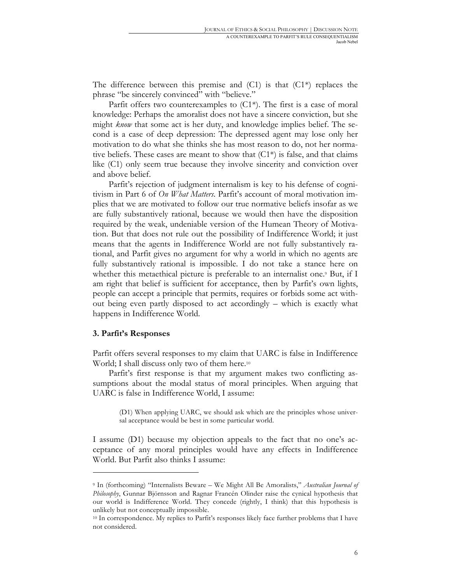The difference between this premise and  $(C1)$  is that  $(C1^*)$  replaces the phrase "be sincerely convinced" with "believe."

Parfit offers two counterexamples to  $(C1^*)$ . The first is a case of moral knowledge: Perhaps the amoralist does not have a sincere conviction, but she might *know* that some act is her duty, and knowledge implies belief. The second is a case of deep depression: The depressed agent may lose only her motivation to do what she thinks she has most reason to do, not her normative beliefs. These cases are meant to show that  $(C1^*)$  is false, and that claims like (C1) only seem true because they involve sincerity and conviction over and above belief.

Parfit's rejection of judgment internalism is key to his defense of cognitivism in Part 6 of *On What Matters*. Parfit's account of moral motivation implies that we are motivated to follow our true normative beliefs insofar as we are fully substantively rational, because we would then have the disposition required by the weak, undeniable version of the Humean Theory of Motivation. But that does not rule out the possibility of Indifference World; it just means that the agents in Indifference World are not fully substantively rational, and Parfit gives no argument for why a world in which no agents are fully substantively rational is impossible. I do not take a stance here on whether this metaethical picture is preferable to an internalist one.<sup>9</sup> But, if I am right that belief is sufficient for acceptance, then by Parfit's own lights, people can accept a principle that permits, requires or forbids some act without being even partly disposed to act accordingly – which is exactly what happens in Indifference World.

#### **3. Parfit's Responses**

 $\overline{a}$ 

Parfit offers several responses to my claim that UARC is false in Indifference World; I shall discuss only two of them here.<sup>10</sup>

Parfit's first response is that my argument makes two conflicting assumptions about the modal status of moral principles. When arguing that UARC is false in Indifference World, I assume:

(D1) When applying UARC, we should ask which are the principles whose universal acceptance would be best in some particular world.

I assume (D1) because my objection appeals to the fact that no one's acceptance of any moral principles would have any effects in Indifference World. But Parfit also thinks I assume:

<sup>9</sup> In (forthcoming) "Internalists Beware – We Might All Be Amoralists," *Australian Journal of Philosophy*, Gunnar Björnsson and Ragnar Francén Olinder raise the cynical hypothesis that our world is Indifference World. They concede (rightly, I think) that this hypothesis is unlikely but not conceptually impossible.

<sup>&</sup>lt;sup>10</sup> In correspondence. My replies to Parfit's responses likely face further problems that I have not considered.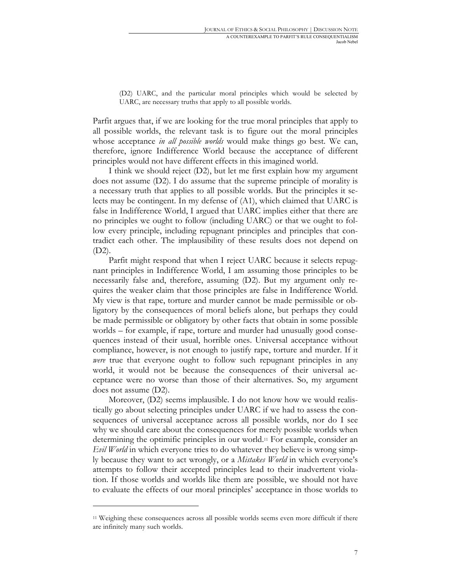(D2) UARC, and the particular moral principles which would be selected by UARC, are necessary truths that apply to all possible worlds.

Parfit argues that, if we are looking for the true moral principles that apply to all possible worlds, the relevant task is to figure out the moral principles whose acceptance *in all possible worlds* would make things go best. We can, therefore, ignore Indifference World because the acceptance of different principles would not have different effects in this imagined world.

I think we should reject (D2), but let me first explain how my argument does not assume (D2). I do assume that the supreme principle of morality is a necessary truth that applies to all possible worlds. But the principles it selects may be contingent. In my defense of (A1), which claimed that UARC is false in Indifference World, I argued that UARC implies either that there are no principles we ought to follow (including UARC) or that we ought to follow every principle, including repugnant principles and principles that contradict each other. The implausibility of these results does not depend on (D2).

Parfit might respond that when I reject UARC because it selects repugnant principles in Indifference World, I am assuming those principles to be necessarily false and, therefore, assuming (D2). But my argument only requires the weaker claim that those principles are false in Indifference World. My view is that rape, torture and murder cannot be made permissible or obligatory by the consequences of moral beliefs alone, but perhaps they could be made permissible or obligatory by other facts that obtain in some possible worlds – for example, if rape, torture and murder had unusually good consequences instead of their usual, horrible ones. Universal acceptance without compliance, however, is not enough to justify rape, torture and murder. If it *were* true that everyone ought to follow such repugnant principles in any world, it would not be because the consequences of their universal acceptance were no worse than those of their alternatives. So, my argument does not assume (D2).

Moreover, (D2) seems implausible. I do not know how we would realistically go about selecting principles under UARC if we had to assess the consequences of universal acceptance across all possible worlds, nor do I see why we should care about the consequences for merely possible worlds when determining the optimific principles in our world.11 For example, consider an *Evil World* in which everyone tries to do whatever they believe is wrong simply because they want to act wrongly, or a *Mistakes World* in which everyone's attempts to follow their accepted principles lead to their inadvertent violation. If those worlds and worlds like them are possible, we should not have to evaluate the effects of our moral principles' acceptance in those worlds to

<sup>11</sup> Weighing these consequences across all possible worlds seems even more difficult if there are infinitely many such worlds.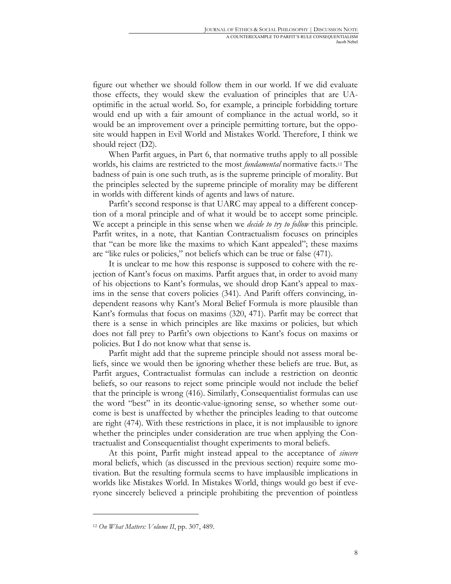figure out whether we should follow them in our world. If we did evaluate those effects, they would skew the evaluation of principles that are UAoptimific in the actual world. So, for example, a principle forbidding torture would end up with a fair amount of compliance in the actual world, so it would be an improvement over a principle permitting torture, but the opposite would happen in Evil World and Mistakes World. Therefore, I think we should reject (D2).

When Parfit argues, in Part 6, that normative truths apply to all possible worlds, his claims are restricted to the most *fundamental* normative facts.12 The badness of pain is one such truth, as is the supreme principle of morality. But the principles selected by the supreme principle of morality may be different in worlds with different kinds of agents and laws of nature.

Parfit's second response is that UARC may appeal to a different conception of a moral principle and of what it would be to accept some principle. We accept a principle in this sense when we *decide to try to follow* this principle. Parfit writes, in a note, that Kantian Contractualism focuses on principles that "can be more like the maxims to which Kant appealed"; these maxims are "like rules or policies," not beliefs which can be true or false (471).

It is unclear to me how this response is supposed to cohere with the rejection of Kant's focus on maxims. Parfit argues that, in order to avoid many of his objections to Kant's formulas, we should drop Kant's appeal to maxims in the sense that covers policies (341). And Parift offers convincing, independent reasons why Kant's Moral Belief Formula is more plausible than Kant's formulas that focus on maxims (320, 471). Parfit may be correct that there is a sense in which principles are like maxims or policies, but which does not fall prey to Parfit's own objections to Kant's focus on maxims or policies. But I do not know what that sense is.

Parfit might add that the supreme principle should not assess moral beliefs, since we would then be ignoring whether these beliefs are true. But, as Parfit argues, Contractualist formulas can include a restriction on deontic beliefs, so our reasons to reject some principle would not include the belief that the principle is wrong (416). Similarly, Consequentialist formulas can use the word "best" in its deontic-value-ignoring sense, so whether some outcome is best is unaffected by whether the principles leading to that outcome are right (474). With these restrictions in place, it is not implausible to ignore whether the principles under consideration are true when applying the Contractualist and Consequentialist thought experiments to moral beliefs.

At this point, Parfit might instead appeal to the acceptance of *sincere* moral beliefs, which (as discussed in the previous section) require some motivation. But the resulting formula seems to have implausible implications in worlds like Mistakes World. In Mistakes World, things would go best if everyone sincerely believed a principle prohibiting the prevention of pointless

<sup>12</sup> *On What Matters: Volume II*, pp. 307, 489.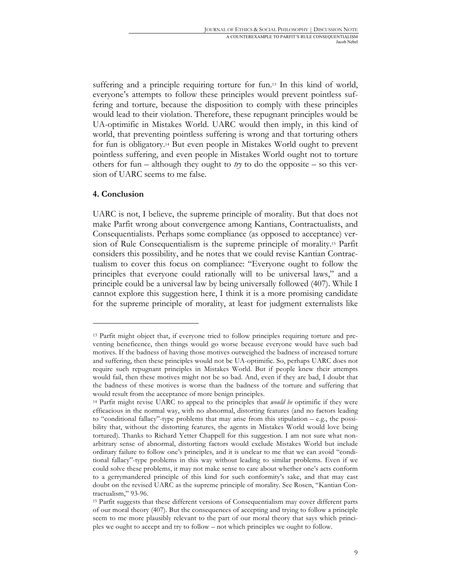suffering and a principle requiring torture for fun.13 In this kind of world, everyone's attempts to follow these principles would prevent pointless suffering and torture, because the disposition to comply with these principles would lead to their violation. Therefore, these repugnant principles would be UA-optimific in Mistakes World. UARC would then imply, in this kind of world, that preventing pointless suffering is wrong and that torturing others for fun is obligatory.14 But even people in Mistakes World ought to prevent pointless suffering, and even people in Mistakes World ought not to torture others for fun – although they ought to  $try$  to do the opposite – so this version of UARC seems to me false.

### **4. Conclusion**

 $\overline{a}$ 

UARC is not, I believe, the supreme principle of morality. But that does not make Parfit wrong about convergence among Kantians, Contractualists, and Consequentialists. Perhaps some compliance (as opposed to acceptance) version of Rule Consequentialism is the supreme principle of morality.15 Parfit considers this possibility, and he notes that we could revise Kantian Contractualism to cover this focus on compliance: "Everyone ought to follow the principles that everyone could rationally will to be universal laws," and a principle could be a universal law by being universally followed (407). While I cannot explore this suggestion here, I think it is a more promising candidate for the supreme principle of morality, at least for judgment externalists like

<sup>13</sup> Parfit might object that, if everyone tried to follow principles requiring torture and preventing beneficence, then things would go worse because everyone would have such bad motives. If the badness of having those motives outweighed the badness of increased torture and suffering, then these principles would not be UA-optimific. So, perhaps UARC does not require such repugnant principles in Mistakes World. But if people knew their attempts would fail, then these motives might not be so bad. And, even if they are bad, I doubt that the badness of these motives is worse than the badness of the torture and suffering that would result from the acceptance of more benign principles.

<sup>14</sup> Parfit might revise UARC to appeal to the principles that *would be* optimific if they were efficacious in the normal way, with no abnormal, distorting features (and no factors leading to "conditional fallacy"-type problems that may arise from this stipulation – e.g., the possibility that, without the distorting features, the agents in Mistakes World would love being tortured). Thanks to Richard Yetter Chappell for this suggestion. I am not sure what nonarbitrary sense of abnormal, distorting factors would exclude Mistakes World but include ordinary failure to follow one's principles, and it is unclear to me that we can avoid "conditional fallacy"-type problems in this way without leading to similar problems. Even if we could solve these problems, it may not make sense to care about whether one's acts conform to a gerrymandered principle of this kind for such conformity's sake, and that may cast doubt on the revised UARC as the supreme principle of morality. See Rosen, "Kantian Contractualism," 93-96.

<sup>15</sup> Parfit suggests that these different versions of Consequentialism may cover different parts of our moral theory (407). But the consequences of accepting and trying to follow a principle seem to me more plausibly relevant to the part of our moral theory that says which principles we ought to accept and try to follow – not which principles we ought to follow.